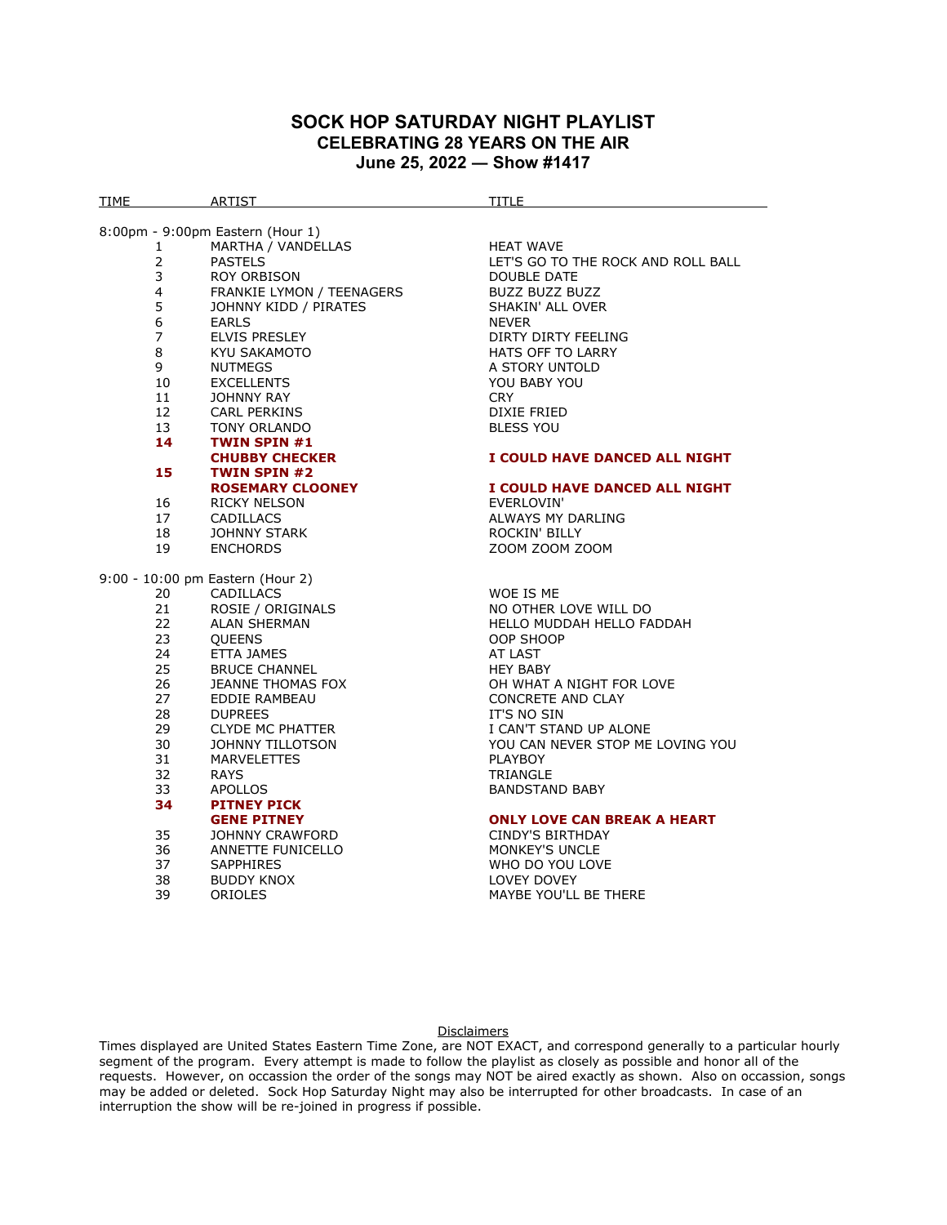## **SOCK HOP SATURDAY NIGHT PLAYLIST CELEBRATING 28 YEARS ON THE AIR June 25, 2022 ― Show #1417**

| TIME                           | ARTIST                               | TITLE                                                  |
|--------------------------------|--------------------------------------|--------------------------------------------------------|
|                                |                                      |                                                        |
|                                | 8:00pm - 9:00pm Eastern (Hour 1)     |                                                        |
| $\mathbf{1}$<br>$\overline{2}$ | MARTHA / VANDELLAS<br><b>PASTELS</b> | <b>HEAT WAVE</b><br>LET'S GO TO THE ROCK AND ROLL BALL |
| 3                              | <b>ROY ORBISON</b>                   | <b>DOUBLE DATE</b>                                     |
| 4                              | FRANKIE LYMON / TEENAGERS            | <b>BUZZ BUZZ BUZZ</b>                                  |
| 5                              | JOHNNY KIDD / PIRATES                | SHAKIN' ALL OVER                                       |
| 6                              | <b>EARLS</b>                         | <b>NEVER</b>                                           |
| $\overline{7}$                 | <b>ELVIS PRESLEY</b>                 | DIRTY DIRTY FEELING                                    |
| 8                              | KYU SAKAMOTO                         | <b>HATS OFF TO LARRY</b>                               |
| 9                              | <b>NUTMEGS</b>                       | A STORY UNTOLD                                         |
| 10                             | <b>EXCELLENTS</b>                    | YOU BABY YOU                                           |
| 11                             | <b>JOHNNY RAY</b>                    | <b>CRY</b>                                             |
| 12                             | CARL PERKINS                         | DIXIE FRIED                                            |
| 13                             | <b>TONY ORLANDO</b>                  | <b>BLESS YOU</b>                                       |
| 14                             | <b>TWIN SPIN #1</b>                  |                                                        |
|                                | <b>CHUBBY CHECKER</b>                | I COULD HAVE DANCED ALL NIGHT                          |
| 15                             | <b>TWIN SPIN #2</b>                  |                                                        |
|                                | <b>ROSEMARY CLOONEY</b>              | I COULD HAVE DANCED ALL NIGHT                          |
| 16                             | <b>RICKY NELSON</b>                  | EVERLOVIN'                                             |
| 17                             | <b>CADILLACS</b>                     | ALWAYS MY DARLING                                      |
| 18                             | <b>JOHNNY STARK</b>                  | <b>ROCKIN' BILLY</b>                                   |
| 19                             | <b>ENCHORDS</b>                      | ZOOM ZOOM ZOOM                                         |
|                                | 9:00 - 10:00 pm Eastern (Hour 2)     |                                                        |
| 20                             | <b>CADILLACS</b>                     | WOE IS ME                                              |
| 21                             | ROSIE / ORIGINALS                    | NO OTHER LOVE WILL DO                                  |
| 22                             | <b>ALAN SHERMAN</b>                  | <b>HELLO MUDDAH HELLO FADDAH</b>                       |
| 23                             | <b>QUEENS</b>                        | OOP SHOOP                                              |
| 24                             | ETTA JAMES                           | AT LAST                                                |
| 25                             | <b>BRUCE CHANNEL</b>                 | <b>HEY BABY</b>                                        |
| 26                             | JEANNE THOMAS FOX                    | OH WHAT A NIGHT FOR LOVE                               |
| 27                             | EDDIE RAMBEAU                        | <b>CONCRETE AND CLAY</b>                               |
| 28                             | <b>DUPREES</b>                       | IT'S NO SIN                                            |
| 29                             | <b>CLYDE MC PHATTER</b>              | I CAN'T STAND UP ALONE                                 |
| 30                             | <b>JOHNNY TILLOTSON</b>              | YOU CAN NEVER STOP ME LOVING YOU                       |
| 31                             | <b>MARVELETTES</b>                   | <b>PLAYBOY</b>                                         |
| 32                             | <b>RAYS</b>                          | <b>TRIANGLE</b>                                        |
| 33                             | <b>APOLLOS</b>                       | <b>BANDSTAND BABY</b>                                  |
| 34                             | <b>PITNEY PICK</b>                   |                                                        |
|                                | <b>GENE PITNEY</b>                   | <b>ONLY LOVE CAN BREAK A HEART</b>                     |
| 35                             | JOHNNY CRAWFORD                      | CINDY'S BIRTHDAY                                       |
| 36                             | ANNETTE FUNICELLO                    | <b>MONKEY'S UNCLE</b>                                  |
| 37                             | <b>SAPPHIRES</b>                     | WHO DO YOU LOVE                                        |
| 38<br>39                       | <b>BUDDY KNOX</b><br>ORIOLES         | LOVEY DOVEY                                            |
|                                |                                      | MAYBE YOU'LL BE THERE                                  |
|                                |                                      |                                                        |

## **Disclaimers**

Times displayed are United States Eastern Time Zone, are NOT EXACT, and correspond generally to a particular hourly segment of the program. Every attempt is made to follow the playlist as closely as possible and honor all of the requests. However, on occassion the order of the songs may NOT be aired exactly as shown. Also on occassion, songs may be added or deleted. Sock Hop Saturday Night may also be interrupted for other broadcasts. In case of an interruption the show will be re-joined in progress if possible.